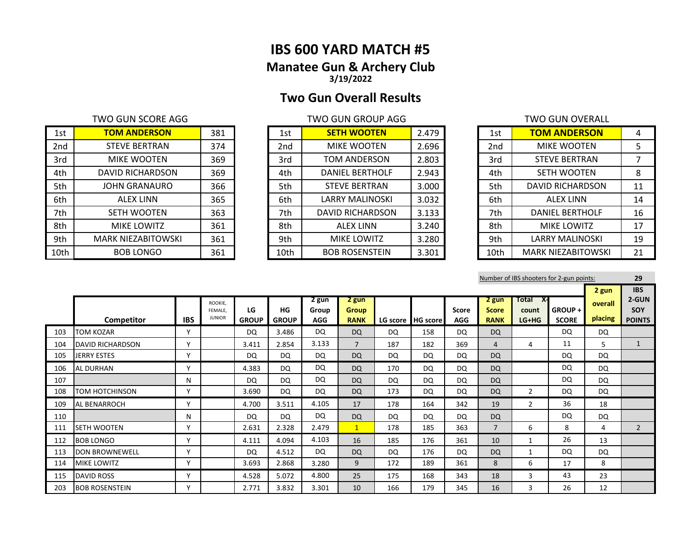# **IBS 600 YARD MATCH #5 Manatee Gun & Archery Club 3/19/2022**

# **Two Gun Overall Results**

| 1st             | <b>TOM ANDERSON</b>       | 381 | 1st             | <b>SETH WOOTEN</b>     | 2.479 | 1st  | <b>TOM ANDERSON</b>       | 4  |
|-----------------|---------------------------|-----|-----------------|------------------------|-------|------|---------------------------|----|
| 2 <sub>nd</sub> | <b>STEVE BERTRAN</b>      | 374 | 2 <sub>nd</sub> | MIKE WOOTEN            | 2.696 | 2nd  | <b>MIKE WOOTEN</b>        | 5  |
| 3rd             | <b>MIKE WOOTEN</b>        | 369 | 3rd             | TOM ANDERSON           | 2.803 | 3rd  | <b>STEVE BERTRAN</b>      |    |
| 4th             | DAVID RICHARDSON          | 369 | 4th             | <b>DANIEL BERTHOLF</b> | 2.943 | 4th  | <b>SETH WOOTEN</b>        | 8  |
| 5th             | <b>JOHN GRANAURO</b>      | 366 | 5th             | <b>STEVE BERTRAN</b>   | 3.000 | 5th  | DAVID RICHARDSON          | 11 |
| 6th             | <b>ALEX LINN</b>          | 365 | 6th             | LARRY MALINOSKI        | 3.032 | 6th  | <b>ALEX LINN</b>          | 14 |
| 7th             | <b>SETH WOOTEN</b>        | 363 | 7th             | DAVID RICHARDSON       | 3.133 | 7th  | <b>DANIEL BERTHOLF</b>    | 16 |
| 8th             | MIKE LOWITZ               | 361 | 8th             | <b>ALEX LINN</b>       | 3.240 | 8th  | MIKE LOWITZ               | 17 |
| 9th             | <b>MARK NIEZABITOWSKI</b> | 361 | 9th             | <b>MIKE LOWITZ</b>     | 3.280 | 9th  | <b>LARRY MALINOSKI</b>    | 19 |
| 10th            | <b>BOB LONGO</b>          | 361 | 10th            | <b>BOB ROSENSTEIN</b>  | 3.301 | 10th | <b>MARK NIEZABITOWSKI</b> | 21 |

| 1st             | <b>SETH WOOTEN</b>      | 2.479 |
|-----------------|-------------------------|-------|
| 2 <sub>nd</sub> | <b>MIKE WOOTEN</b>      | 2.696 |
| 3rd             | <b>TOM ANDERSON</b>     | 2.803 |
| 4th             | <b>DANIEL BERTHOLF</b>  | 2.943 |
| 5th             | <b>STEVE BERTRAN</b>    | 3.000 |
| 6th             | LARRY MALINOSKI         | 3.032 |
| 7th             | <b>DAVID RICHARDSON</b> | 3.133 |
| 8th             | <b>ALEX LINN</b>        | 3.240 |
| 9th             | <b>MIKE LOWITZ</b>      | 3.280 |
| 10th            | <b>BOB ROSENSTEIN</b>   | 3.301 |

| <b>TWO GUN SCORE AGG</b>  |     |      | <b>TWO GUN GROUP AGG</b> |       |      | TWO GUN OVERALL           |    |
|---------------------------|-----|------|--------------------------|-------|------|---------------------------|----|
| <b>TOM ANDERSON</b>       | 381 | 1st  | <b>SETH WOOTEN</b>       | 2.479 | 1st  | <b>TOM ANDERSON</b>       | 4  |
| <b>STEVE BERTRAN</b>      | 374 | 2nd  | <b>MIKE WOOTEN</b>       | 2.696 | 2nd  | <b>MIKE WOOTEN</b>        | 5  |
| <b>MIKE WOOTEN</b>        | 369 | 3rd  | TOM ANDERSON             | 2.803 | 3rd  | <b>STEVE BERTRAN</b>      |    |
| DAVID RICHARDSON          | 369 | 4th  | <b>DANIEL BERTHOLF</b>   | 2.943 | 4th  | <b>SETH WOOTEN</b>        | 8  |
| JOHN GRANAURO             | 366 | 5th  | <b>STEVE BERTRAN</b>     | 3.000 | 5th  | DAVID RICHARDSON          | 11 |
| <b>ALEX LINN</b>          | 365 | 6th  | <b>LARRY MALINOSKI</b>   | 3.032 | 6th  | <b>ALEX LINN</b>          | 14 |
| <b>SETH WOOTEN</b>        | 363 | 7th  | DAVID RICHARDSON         | 3.133 | 7th  | <b>DANIEL BERTHOLF</b>    | 16 |
| <b>MIKE LOWITZ</b>        | 361 | 8th  | <b>ALEX LINN</b>         | 3.240 | 8th  | <b>MIKE LOWITZ</b>        | 17 |
| <b>MARK NIEZABITOWSKI</b> | 361 | 9th  | <b>MIKE LOWITZ</b>       | 3.280 | 9th  | <b>LARRY MALINOSKI</b>    | 19 |
| <b>BOB LONGO</b>          | 361 | 10th | <b>BOB ROSENSTEIN</b>    | 3.301 | 10th | <b>MARK NIEZABITOWSKI</b> | 21 |

|     |                         |              |                    |              |              |                |                      |           |                     |              |                         |                  | Number of IBS shooters for 2-gun points: |           | 29                  |
|-----|-------------------------|--------------|--------------------|--------------|--------------|----------------|----------------------|-----------|---------------------|--------------|-------------------------|------------------|------------------------------------------|-----------|---------------------|
|     |                         |              |                    |              |              |                |                      |           |                     |              |                         |                  |                                          | 2 gun     | <b>IBS</b>          |
|     |                         |              | ROOKIE.<br>FEMALE. | LG           | HG           | 2 gun<br>Group | 2 gun                |           |                     | <b>Score</b> | $2$ gun<br><b>Score</b> | Total<br>- X-    | <b>GROUP +</b>                           | overall   | 2-GUN<br><b>SOY</b> |
|     | Competitor              | <b>IBS</b>   | <b>JUNIOR</b>      | <b>GROUP</b> | <b>GROUP</b> | <b>AGG</b>     | Group<br><b>RANK</b> |           | LG score   HG score | <b>AGG</b>   | <b>RANK</b>             | count<br>$LG+HG$ | <b>SCORE</b>                             | placing   | <b>POINTS</b>       |
| 103 | <b>TOM KOZAR</b>        | Y            |                    | <b>DQ</b>    | 3.486        | DQ             | <b>DQ</b>            | <b>DQ</b> | 158                 | <b>DQ</b>    | <b>DQ</b>               |                  | <b>DQ</b>                                | <b>DQ</b> |                     |
| 104 | <b>DAVID RICHARDSON</b> | $\mathsf{v}$ |                    | 3.411        | 2.854        | 3.133          | $\overline{7}$       | 187       | 182                 | 369          | 4                       | 4                | 11                                       | 5         | $\overline{1}$      |
| 105 | <b>JERRY ESTES</b>      | Y            |                    | DQ.          | <b>DQ</b>    | DQ             | <b>DQ</b>            | DQ        | DQ                  | <b>DQ</b>    | <b>DQ</b>               |                  | DQ                                       | <b>DQ</b> |                     |
| 106 | <b>AL DURHAN</b>        | $\mathsf{v}$ |                    | 4.383        | DQ           | <b>DQ</b>      | <b>DQ</b>            | 170       | DQ                  | <b>DQ</b>    | <b>DQ</b>               |                  | DQ                                       | <b>DQ</b> |                     |
| 107 |                         | N            |                    | <b>DQ</b>    | DQ           | <b>DQ</b>      | <b>DQ</b>            | <b>DQ</b> | DQ                  | <b>DQ</b>    | <b>DQ</b>               |                  | <b>DQ</b>                                | <b>DQ</b> |                     |
| 108 | <b>TOM HOTCHINSON</b>   | Y            |                    | 3.690        | DQ           | <b>DQ</b>      | <b>DQ</b>            | 173       | <b>DQ</b>           | <b>DQ</b>    | <b>DQ</b>               | $\overline{2}$   | DQ                                       | <b>DQ</b> |                     |
| 109 | AL BENARROCH            | $\mathsf{v}$ |                    | 4.700        | 3.511        | 4.105          | 17                   | 178       | 164                 | 342          | 19                      | $\overline{2}$   | 36                                       | 18        |                     |
| 110 |                         | N            |                    | DQ           | DQ           | <b>DQ</b>      | <b>DQ</b>            | DQ        | <b>DQ</b>           | <b>DQ</b>    | <b>DQ</b>               |                  | <b>DQ</b>                                | <b>DQ</b> |                     |
| 111 | SETH WOOTEN             | Y            |                    | 2.631        | 2.328        | 2.479          | $\mathbf{1}$         | 178       | 185                 | 363          | $\overline{7}$          | 6                | 8                                        | 4         | $\overline{2}$      |
| 112 | <b>BOB LONGO</b>        | Y            |                    | 4.111        | 4.094        | 4.103          | 16                   | 185       | 176                 | 361          | 10                      | 1                | 26                                       | 13        |                     |
| 113 | <b>DON BROWNEWELL</b>   | Y            |                    | DQ           | 4.512        | <b>DQ</b>      | <b>DQ</b>            | <b>DQ</b> | 176                 | <b>DQ</b>    | <b>DQ</b>               | 1                | DQ                                       | <b>DQ</b> |                     |
| 114 | <b>MIKE LOWITZ</b>      | Y            |                    | 3.693        | 2.868        | 3.280          | 9                    | 172       | 189                 | 361          | 8                       | 6                | 17                                       | 8         |                     |
| 115 | <b>DAVID ROSS</b>       | Υ            |                    | 4.528        | 5.072        | 4.800          | 25                   | 175       | 168                 | 343          | 18                      | 3                | 43                                       | 23        |                     |
| 203 | <b>BOB ROSENSTEIN</b>   | ٧            |                    | 2.771        | 3.832        | 3.301          | 10                   | 166       | 179                 | 345          | 16                      | 3                | 26                                       | 12        |                     |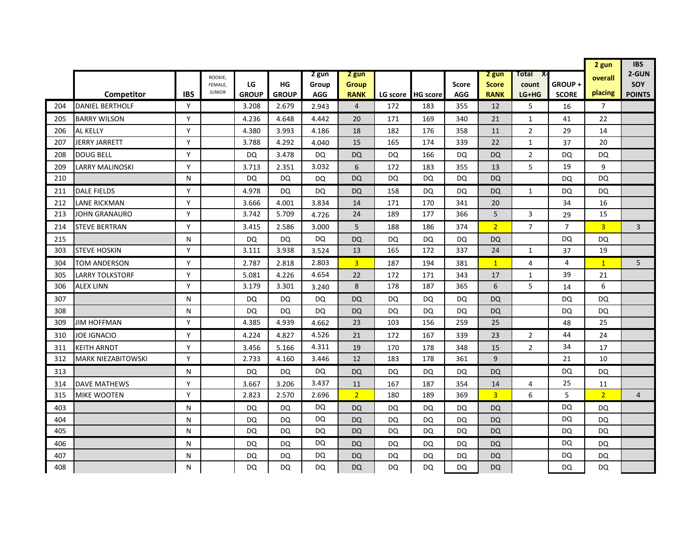|     |                           |            |                          |              |              |            |                |     |                   |              |                |                |                | 2 gun          | <b>IBS</b>     |
|-----|---------------------------|------------|--------------------------|--------------|--------------|------------|----------------|-----|-------------------|--------------|----------------|----------------|----------------|----------------|----------------|
|     |                           |            | ROOKIE,                  |              |              | 2 gun      | 2 gun          |     |                   |              | 2 gun          | Total<br>X-    |                | overall        | 2-GUN          |
|     |                           |            | FEMALE.<br><b>JUNIOR</b> | LG           | HG           | Group      | Group          |     |                   | <b>Score</b> | <b>Score</b>   | count          | GROUP+         | placing        | SOY            |
|     | Competitor                | <b>IBS</b> |                          | <b>GROUP</b> | <b>GROUP</b> | <b>AGG</b> | <b>RANK</b>    |     | LG score HG score | <b>AGG</b>   | <b>RANK</b>    | LG+HG          | <b>SCORE</b>   |                | <b>POINTS</b>  |
| 204 | <b>DANIEL BERTHOLF</b>    | Y          |                          | 3.208        | 2.679        | 2.943      | $\overline{4}$ | 172 | 183               | 355          | 12             | 5              | 16             | $\overline{7}$ |                |
| 205 | <b>BARRY WILSON</b>       | Y          |                          | 4.236        | 4.648        | 4.442      | 20             | 171 | 169               | 340          | 21             | 1              | 41             | 22             |                |
| 206 | AL KELLY                  | Y          |                          | 4.380        | 3.993        | 4.186      | 18             | 182 | 176               | 358          | 11             | $\overline{2}$ | 29             | 14             |                |
| 207 | <b>JERRY JARRETT</b>      | Y          |                          | 3.788        | 4.292        | 4.040      | 15             | 165 | 174               | 339          | 22             | $\mathbf 1$    | 37             | 20             |                |
| 208 | <b>DOUG BELL</b>          | Y          |                          | DQ           | 3.478        | DQ         | <b>DQ</b>      | DQ  | 166               | DQ.          | DQ             | 2              | DQ             | DQ             |                |
| 209 | <b>LARRY MALINOSKI</b>    | Y          |                          | 3.713        | 2.351        | 3.032      | 6              | 172 | 183               | 355          | 13             | 5              | 19             | 9              |                |
| 210 |                           | N          |                          | DQ           | DQ           | DQ         | <b>DQ</b>      | DQ  | DQ                | DQ           | DQ.            |                | DQ             | DQ             |                |
| 211 | <b>DALE FIELDS</b>        | Y          |                          | 4.978        | DQ           | DQ         | <b>DQ</b>      | 158 | DQ.               | DQ.          | <b>DQ</b>      | $\mathbf{1}$   | DQ             | DQ             |                |
| 212 | <b>LANE RICKMAN</b>       | Y          |                          | 3.666        | 4.001        | 3.834      | 14             | 171 | 170               | 341          | 20             |                | 34             | 16             |                |
| 213 | <b>JOHN GRANAURO</b>      | Y          |                          | 3.742        | 5.709        | 4.726      | 24             | 189 | 177               | 366          | 5              | 3              | 29             | 15             |                |
| 214 | <b>STEVE BERTRAN</b>      | Y          |                          | 3.415        | 2.586        | 3.000      | 5              | 188 | 186               | 374          | $\overline{2}$ | $\overline{7}$ | $\overline{7}$ | $\overline{3}$ | 3              |
| 215 |                           | N          |                          | DQ           | DQ           | <b>DQ</b>  | <b>DQ</b>      | DQ  | DQ                | DQ           | DQ             |                | DQ             | DQ             |                |
| 303 | <b>STEVE HOSKIN</b>       | Y          |                          | 3.111        | 3.938        | 3.524      | 13             | 165 | 172               | 337          | 24             | $\mathbf{1}$   | 37             | 19             |                |
| 304 | <b>TOM ANDERSON</b>       | Y          |                          | 2.787        | 2.818        | 2.803      | 3 <sup>2</sup> | 187 | 194               | 381          | $\mathbf{1}$   | 4              | 4              | $\overline{1}$ | 5              |
| 305 | <b>LARRY TOLKSTORF</b>    | Y          |                          | 5.081        | 4.226        | 4.654      | 22             | 172 | 171               | 343          | 17             | $\mathbf{1}$   | 39             | 21             |                |
| 306 | <b>ALEX LINN</b>          | Y          |                          | 3.179        | 3.301        | 3.240      | 8              | 178 | 187               | 365          | 6              | 5              | 14             | 6              |                |
| 307 |                           | N          |                          | DQ           | DQ.          | DQ         | <b>DQ</b>      | DQ  | DQ.               | DQ.          | DQ             |                | DQ             | DQ             |                |
| 308 |                           | N          |                          | DQ           | DQ           | <b>DQ</b>  | <b>DQ</b>      | DQ  | DQ.               | DQ           | DQ             |                | DQ             | DQ             |                |
| 309 | <b>JIM HOFFMAN</b>        | Y          |                          | 4.385        | 4.939        | 4.662      | 23             | 103 | 156               | 259          | 25             |                | 48             | 25             |                |
| 310 | <b>JOE IGNACIO</b>        | Y          |                          | 4.224        | 4.827        | 4.526      | 21             | 172 | 167               | 339          | 23             | 2              | 44             | 24             |                |
| 311 | <b>KEITH ARNDT</b>        | Y          |                          | 3.456        | 5.166        | 4.311      | 19             | 170 | 178               | 348          | 15             | $\overline{2}$ | 34             | 17             |                |
| 312 | <b>MARK NIEZABITOWSKI</b> | Y          |                          | 2.733        | 4.160        | 3.446      | 12             | 183 | 178               | 361          | 9              |                | 21             | 10             |                |
| 313 |                           | N          |                          | DQ           | DQ           | DQ         | <b>DQ</b>      | DQ  | DQ                | DQ           | DQ             |                | DQ             | DQ             |                |
| 314 | <b>DAVE MATHEWS</b>       | Y          |                          | 3.667        | 3.206        | 3.437      | 11             | 167 | 187               | 354          | 14             | 4              | 25             | 11             |                |
| 315 | <b>MIKE WOOTEN</b>        | Y          |                          | 2.823        | 2.570        | 2.696      | 2 <sup>1</sup> | 180 | 189               | 369          | $\overline{3}$ | 6              | 5              | 2 <sup>1</sup> | $\overline{4}$ |
| 403 |                           | N          |                          | DQ           | DQ           | <b>DQ</b>  | <b>DQ</b>      | DQ  | DQ                | DQ           | <b>DQ</b>      |                | DQ             | DQ             |                |
| 404 |                           | N          |                          | DQ           | DQ           | DQ         | <b>DQ</b>      | DQ  | DQ                | DQ           | <b>DQ</b>      |                | DQ             | DQ             |                |
| 405 |                           | N          |                          | DQ           | DQ           | DQ         | <b>DQ</b>      | DQ  | DQ                | DQ           | DQ             |                | DQ             | DQ             |                |
| 406 |                           | N          |                          | DQ           | DQ           | DQ         | <b>DQ</b>      | DQ  | DQ                | DQ           | <b>DQ</b>      |                | DQ             | DQ             |                |
| 407 |                           | N          |                          | DQ           | DQ           | DQ         | <b>DQ</b>      | DQ  | DQ                | DQ           | DQ.            |                | DQ             | DQ             |                |
| 408 |                           | N          |                          | DQ           | DQ           | DQ         | <b>DQ</b>      | DQ  | DQ                | DQ           | <b>DQ</b>      |                | DQ             | DQ             |                |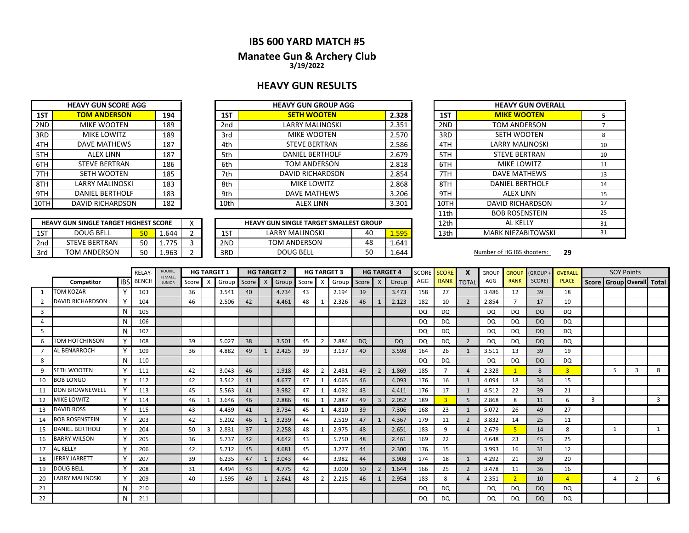## **IBS 600 YARD MATCH #5**

#### **Manatee Gun & Archery Club 3/19/2022**

#### **HEAVY GUN RESULTS**

|     | <b>HEAVY GUN SCORE AGG</b> |     |
|-----|----------------------------|-----|
| 1ST | <b>TOM ANDERSON</b>        | 194 |
| 2ND | <b>MIKE WOOTEN</b>         | 189 |
| 3RD | MIKE LOWITZ                | 189 |
| 4TH | <b>DAVE MATHEWS</b>        | 187 |
| 5TH | <b>ALEX LINN</b>           | 187 |
| 6TH | <b>STEVE BERTRAN</b>       | 186 |
| 7TH | <b>SETH WOOTEN</b>         | 185 |
| 8TH | <b>LARRY MALINOSKI</b>     | 183 |
| 9TH | <b>DANIEL BERTHOLF</b>     | 183 |
| 10T | <b>DAVID RICHARDSON</b>    | 182 |

|       | <b>HEAVY GUN GROUP AGG</b> |                 |     | <b>HEAVY GUN SCORE AGG</b> |      |
|-------|----------------------------|-----------------|-----|----------------------------|------|
| 2.328 | <b>SETH WOOTEN</b>         | 1ST             | 194 | <b>TOM ANDERSON</b>        | 1ST  |
| 2.351 | <b>LARRY MALINOSKI</b>     | 2 <sub>nd</sub> | 189 | <b>MIKE WOOTEN</b>         | 2ND  |
| 2.570 | <b>MIKE WOOTEN</b>         | 3rd             | 189 | <b>MIKE LOWITZ</b>         | 3RD  |
| 2.586 | <b>STEVE BERTRAN</b>       | 4th             | 187 | DAVE MATHEWS               | 4TH  |
| 2.679 | <b>DANIEL BERTHOLF</b>     | 5th             | 187 | <b>ALEX LINN</b>           | 5TH  |
| 2.818 | TOM ANDERSON               | 6th             | 186 | <b>STEVE BERTRAN</b>       | 6TH  |
| 2.854 | DAVID RICHARDSON           | 7th             | 185 | SETH WOOTEN                | 7TH  |
| 2.868 | <b>MIKE LOWITZ</b>         | 8th             | 183 | LARRY MALINOSKI            | 8TH  |
| 3.206 | DAVE MATHEWS               | 9th             | 183 | <b>DANIEL BERTHOLF</b>     | 9TH  |
| 3.301 | <b>ALEX LINN</b>           | 10th            | 182 | DAVID RICHARDSON           | 10TH |
|       |                            |                 |     |                            |      |

|     | <b>HEAVY GUN SINGLE TARGET HIGHEST SCORE</b> |                 |            |  |     | <b>HEAVY GUN SINGLE TARGET SMALLEST GROUP</b> |    |        | 12th | AL KELLY                   |    |
|-----|----------------------------------------------|-----------------|------------|--|-----|-----------------------------------------------|----|--------|------|----------------------------|----|
| 1ST | <b>DOUG BELL</b>                             | JU              | 1.644      |  | 1ST | LARRY MALINOSKI                               | 40 | 1.595  | 13th | <b>MARK NIEZABITOWSKI</b>  |    |
| 2nd | FEVE BERTRAN                                 | <b>FO</b><br>JU | $77$ r<br> |  | 2ND | <b>TOM ANDERSON</b>                           | 48 | 1.641  |      |                            |    |
| 3rd | TOM ANDERSON                                 | <b>FO</b><br>JU | 1.963      |  | 3RD | DOUG BELL                                     | 50 | ـ 644. |      | Number of HG IBS shooters: | 29 |

| <b>HEAVY GUN GROUP AGG</b>              |    |       |                 | <b>HEAVY GUN OVERALL</b>  |    |
|-----------------------------------------|----|-------|-----------------|---------------------------|----|
| <b>SETH WOOTEN</b>                      |    | 2.328 | 1ST             | <b>MIKE WOOTEN</b>        | 5  |
| <b>LARRY MALINOSKI</b>                  |    | 2.351 | 2 <sub>ND</sub> | TOM ANDERSON              | 7  |
| <b>MIKE WOOTEN</b>                      |    | 2.570 | 3RD             | SETH WOOTEN               | 8  |
| <b>STEVE BERTRAN</b>                    |    | 2.586 | 4TH             | <b>LARRY MALINOSKI</b>    | 10 |
| <b>DANIEL BERTHOLF</b>                  |    | 2.679 | 5TH             | <b>STEVE BERTRAN</b>      | 10 |
| TOM ANDERSON                            |    | 2.818 | 6TH             | <b>MIKE LOWITZ</b>        | 11 |
| <b>DAVID RICHARDSON</b>                 |    | 2.854 | 7TH             | DAVE MATHEWS              | 13 |
| MIKE LOWITZ                             |    | 2.868 | 8TH             | <b>DANIEL BERTHOLF</b>    | 14 |
| DAVE MATHEWS                            |    | 3.206 | 9TH             | <b>ALEX LINN</b>          | 15 |
| <b>ALEX LINN</b>                        |    | 3.301 | 10TH            | <b>DAVID RICHARDSON</b>   | 17 |
|                                         |    |       | 11th            | <b>BOB ROSENSTEIN</b>     | 25 |
| <b>GUN SINGLE TARGET SMALLEST GROUP</b> |    |       | 12th            | AL KELLY                  | 31 |
| LARRY MALINOSKI                         | 40 | 1.595 | 13th            | <b>MARK NIEZABITOWSKI</b> | 31 |

|              |                         |              | RELAY            | ROOKIE,<br>FEMALE. |           |                | <b>HG TARGET 1</b> |               | <b>HG TARGET 2</b> |           |                | <b>HG TARGET 3</b> |       |                | <b>HG TARGET 4</b> | <b>SCORE</b> | <b>SCORE</b>   | X              | <b>GROUP</b> | <b>GROUP</b>   | (GROUP+   | <b>OVERALL</b> |   | <b>SOY Points</b>         |                |   |
|--------------|-------------------------|--------------|------------------|--------------------|-----------|----------------|--------------------|---------------|--------------------|-----------|----------------|--------------------|-------|----------------|--------------------|--------------|----------------|----------------|--------------|----------------|-----------|----------------|---|---------------------------|----------------|---|
|              | Competitor              |              | <b>IBS</b> BENCH | <b>JUNIOR</b>      | Score   X |                |                    | Group Score X | Group              | Score   X |                | Group              | Score | $\mathsf{X}$   | Group              | AGG          |                | RANK TOTAL     | AGG          | <b>RANK</b>    | SCORE)    | <b>PLACE</b>   |   | Score Group Overall Total |                |   |
|              | <b>TOM KOZAR</b>        |              | 103              |                    | 36        |                | 3.541              | 40            | 4.734              | 43        |                | 2.194              | 39    |                | 3.473              | 158          | 27             |                | 3.486        | 12             | 39        | 18             |   |                           |                |   |
|              | <b>DAVID RICHARDSON</b> |              | 104              |                    | 46        |                | 2.506              | 42            | 4.461              | 48        |                | 2.326              | 46    |                | 2.123              | 182          | 10             | $\overline{2}$ | 2.854        |                | 17        | 10             |   |                           |                |   |
| 3            |                         | N            | 105              |                    |           |                |                    |               |                    |           |                |                    |       |                |                    | DQ           | DQ             |                | DQ           | DQ             | <b>DQ</b> | DQ             |   |                           |                |   |
|              |                         | N            | 106              |                    |           |                |                    |               |                    |           |                |                    |       |                |                    | DQ           | DQ             |                | DQ           | DQ             | <b>DQ</b> | <b>DQ</b>      |   |                           |                |   |
| 5            |                         | N            | 107              |                    |           |                |                    |               |                    |           |                |                    |       |                |                    | DQ           | DQ             |                | DQ           | DQ             | <b>DQ</b> | DQ             |   |                           |                |   |
| 6            | <b>TOM HOTCHINSON</b>   |              | 108              |                    | 39        |                | 5.027              | 38            | 3.501              | 45        | 2              | 2.884              | DQ    |                | <b>DQ</b>          | DQ           | DQ             | $\overline{2}$ | DQ           | DQ             | <b>DQ</b> | <b>DQ</b>      |   |                           |                |   |
|              | <b>AL BENARROCH</b>     | Y            | 109              |                    | 36        |                | 4.882              | 49            | 2.425              | 39        |                | 3.137              | 40    |                | 3.598              | 164          | 26             | 1              | 3.511        | 13             | 39        | 19             |   |                           |                |   |
| 8            |                         | N            | 110              |                    |           |                |                    |               |                    |           |                |                    |       |                |                    | DQ           | <b>DQ</b>      |                | DQ           | <b>DQ</b>      | <b>DQ</b> | DQ             |   |                           |                |   |
| $\mathbf{q}$ | SETH WOOTEN             | $\checkmark$ | 111              |                    | 42        |                | 3.043              | 46            | 1.918              | 48        | $\overline{2}$ | 2.481              | 49    | $\overline{2}$ | 1.869              | 185          | $\overline{7}$ | $\overline{4}$ | 2.328        |                | 8         | $\overline{3}$ |   | 5                         | 3              | 8 |
| 10           | <b>BOB LONGO</b>        |              | 112              |                    | 42        |                | 3.542              | 41            | 4.677              | 47        |                | 4.065              | 46    |                | 4.093              | 176          | 16             | $\mathbf{1}$   | 4.094        | 18             | 34        | 15             |   |                           |                |   |
|              | <b>DON BROWNEWELL</b>   |              | 113              |                    | 45        |                | 5.563              | 41            | 3.982              | 47        |                | 4.092              | 43    |                | 4.411              | 176          | 17             | $\mathbf{1}$   | 4.512        | 22             | 39        | 21             |   |                           |                |   |
| 12           | <b>MIKE LOWITZ</b>      | $\mathbf v$  | 114              |                    | 46        |                | 3.646              | 46            | 2.886              | 48        |                | 2.887              | 49    | $\overline{3}$ | 2.052              | 189          | $\overline{3}$ | 5              | 2.868        | 8              | 11        | 6              | 3 |                           |                | 3 |
| 13           | <b>DAVID ROSS</b>       |              | 115              |                    | 43        |                | 4.439              | 41            | 3.734              | 45        |                | 4.810              | 39    |                | 7.306              | 168          | 23             | 1              | 5.072        | 26             | 49        | 27             |   |                           |                |   |
| 14           | <b>BOB ROSENSTEIN</b>   |              | 203              |                    | 42        |                | 5.202              | 46            | 3.239              | 44        |                | 2.519              | 47    |                | 4.367              | 179          | 11             | $\overline{2}$ | 3.832        | 14             | 25        | 11             |   |                           |                |   |
| 15           | <b>DANIEL BERTHOLF</b>  |              | 204              |                    | 50        | $\overline{3}$ | 2.831              | 37            | 2.258              | 48        |                | 2.975              | 48    |                | 2.651              | 183          | 9              | $\overline{a}$ | 2.679        |                | 14        | 8              |   |                           |                | 1 |
| 16           | <b>BARRY WILSON</b>     |              | 205              |                    | 36        |                | 5.737              | 42            | 4.642              | 43        |                | 5.750              | 48    |                | 2.461              | 169          | 22             |                | 4.648        | 23             | 45        | 25             |   |                           |                |   |
| 17           | <b>AL KELLY</b>         |              | 206              |                    | 42        |                | 5.712              | 45            | 4.681              | 45        |                | 3.277              | 44    |                | 2.300              | 176          | 15             |                | 3.993        | 16             | 31        | 12             |   |                           |                |   |
| 18           | <b>JERRY JARRETT</b>    | $\mathbf v$  | 207              |                    | 39        |                | 6.235              | 47            | 3.043              | 44        |                | 3.982              | 44    |                | 3.908              | 174          | 18             | 1              | 4.292        | 21             | 39        | 20             |   |                           |                |   |
| 19           | <b>DOUG BELL</b>        |              | 208              |                    | 31        |                | 4.494              | 43            | 4.775              | 42        |                | 3.000              | 50    | $\overline{2}$ | 1.644              | 166          | 25             | 2              | 3.478        | 11             | 36        | 16             |   |                           |                |   |
| 20           | LARRY MALINOSKI         |              | 209              |                    | 40        |                | 1.595              | 49            | 2.641              | 48        | $\mathcal{P}$  | 2.215              | 46    |                | 2.954              | 183          | 8              | $\overline{4}$ | 2.351        | $\overline{2}$ | 10        | $\overline{4}$ |   |                           | $\overline{2}$ | 6 |
| 21           |                         | N            | 210              |                    |           |                |                    |               |                    |           |                |                    |       |                |                    | DQ           | <b>DQ</b>      |                | DQ           | <b>DQ</b>      | <b>DQ</b> | DQ             |   |                           |                |   |
| 22           |                         | N            | 211              |                    |           |                |                    |               |                    |           |                |                    |       |                |                    | DQ           | <b>DQ</b>      |                | <b>DQ</b>    | DQ             | <b>DQ</b> | <b>DQ</b>      |   |                           |                |   |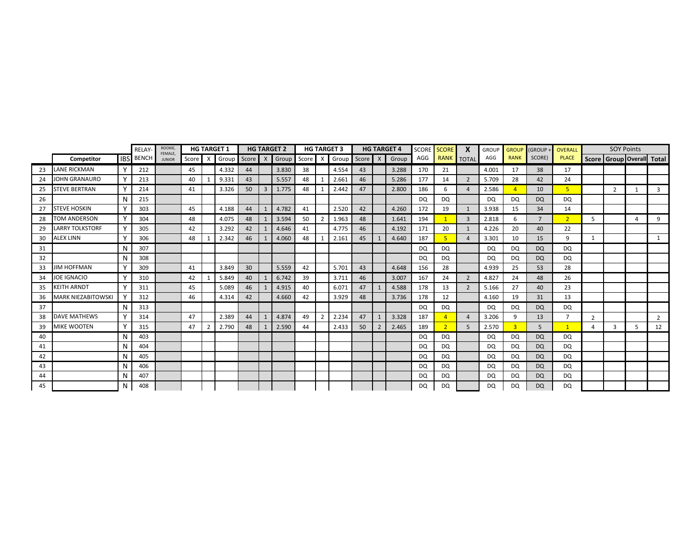|    |                           |          | RELAY-           | ROOKIE,<br>FEMALE. |       |                           | <b>HG TARGET 1</b> |         |    | <b>HG TARGET 2</b>  |    |                | <b>HG TARGET 3</b> |         |                | <b>HG TARGET 4</b> | SCORE     | <b>SCORE</b>   | X                 | <b>GROUP</b> | <b>GROUP</b>   | <b>GROUP</b>   | <b>OVERALL</b> |                |                                 | <b>SOY Points</b> |                |
|----|---------------------------|----------|------------------|--------------------|-------|---------------------------|--------------------|---------|----|---------------------|----|----------------|--------------------|---------|----------------|--------------------|-----------|----------------|-------------------|--------------|----------------|----------------|----------------|----------------|---------------------------------|-------------------|----------------|
|    | Competitor                |          | <b>IBS</b> BENCH | <b>JUNIOR</b>      | Score | $\boldsymbol{\mathsf{x}}$ | Group              | Score X |    | Group Score X Group |    |                |                    | Score X |                | Group              | AGG       |                | <b>RANK TOTAL</b> | AGG          | <b>RANK</b>    | SCORE)         | <b>PLACE</b>   |                | Score   Group   Overall   Total |                   |                |
| 23 | <b>LANE RICKMAN</b>       |          | 212              |                    | 45    |                           | 4.332              | 44      |    | 3.830               | 38 |                | 4.554              | 43      |                | 3.288              | 170       | 21             |                   | 4.001        | 17             | 38             | 17             |                |                                 |                   |                |
| 24 | JOHN GRANAURO             |          | 213              |                    | 40    |                           | 9.331              | 43      |    | 5.557               | 48 |                | 2.661              | 46      |                | 5.286              | 177       | 14             | $\overline{2}$    | 5.709        | 28             | 42             | 24             |                |                                 |                   |                |
| 25 | <b>STEVE BERTRAN</b>      |          | 214              |                    | 41    |                           | 3.326              | 50      | 3  | 1.775               | 48 |                | 2.442              | 47      |                | 2.800              | 186       | -6             | $\overline{4}$    | 2.586        |                | 10             | 5              |                | $\overline{2}$                  | $\mathbf{1}$      | 3              |
| 26 |                           | N        | 215              |                    |       |                           |                    |         |    |                     |    |                |                    |         |                |                    | DQ        | DQ             |                   | <b>DQ</b>    | <b>DQ</b>      | DQ             | DQ.            |                |                                 |                   |                |
| 27 | <b>STEVE HOSKIN</b>       |          | 303              |                    | 45    |                           | 4.188              | 44      |    | 4.782               | 41 |                | 2.520              | 42      |                | 4.260              | 172       | 19             | $\mathbf{1}$      | 3.938        | 15             | 34             | 14             |                |                                 |                   |                |
| 28 | TOM ANDERSON              | Y        | 304              |                    | 48    |                           | 4.075              | 48      | -1 | 3.594               | 50 | $\overline{2}$ | 1.963              | 48      |                | 1.641              | 194       |                | 3                 | 2.818        | 6              | $\overline{7}$ | 2 <sup>1</sup> | 5              |                                 | Δ                 | $\mathsf{q}$   |
| 29 | <b>LARRY TOLKSTORF</b>    |          | 305              |                    | 42    |                           | 3.292              | 42      |    | 4.646               | 41 |                | 4.775              | 46      |                | 4.192              | 171       | 20             | 1                 | 4.226        | 20             | 40             | 22             |                |                                 |                   |                |
| 30 | ALEX LINN                 |          | 306              |                    | 48    |                           | 2.342              | 46      |    | 4.060               | 48 |                | 2.161              | 45      |                | 4.640              | 187       |                | $\overline{a}$    | 3.301        | 10             | 15             | 9              | $\mathbf{1}$   |                                 |                   |                |
| 31 |                           | N        | 307              |                    |       |                           |                    |         |    |                     |    |                |                    |         |                |                    | <b>DQ</b> | DQ             |                   | DQ           | DQ             | <b>DQ</b>      | DQ             |                |                                 |                   |                |
| 32 |                           | N        | 308              |                    |       |                           |                    |         |    |                     |    |                |                    |         |                |                    | DQ        | DQ             |                   | DQ           | DQ             | <b>DQ</b>      | DQ             |                |                                 |                   |                |
| 33 | <b>JIM HOFFMAN</b>        |          | 309              |                    | 41    |                           | 3.849              | 30      |    | 5.559               | 42 |                | 5.701              | 43      |                | 4.648              | 156       | 28             |                   | 4.939        | 25             | 53             | 28             |                |                                 |                   |                |
| 34 | JOE IGNACIO               |          | 310              |                    | 42    |                           | 5.849              | 40      |    | 6.742               | 39 |                | 3.711              | 46      |                | 3.007              | 167       | 24             | 2                 | 4.827        | 24             | 48             | 26             |                |                                 |                   |                |
| 35 | KEITH ARNDT               |          | 311              |                    | 45    |                           | 5.089              | 46      |    | 4.915               | 40 |                | 6.071              | 47      |                | 4.588              | 178       | 13             | $\overline{2}$    | 5.166        | 27             | 40             | 23             |                |                                 |                   |                |
| 36 | <b>MARK NIEZABITOWSKI</b> |          | 312              |                    | 46    |                           | 4.314              | 42      |    | 4.660               | 42 |                | 3.929              | 48      |                | 3.736              | 178       | 12             |                   | 4.160        | 19             | 31             | 13             |                |                                 |                   |                |
| 37 |                           | N        | 313              |                    |       |                           |                    |         |    |                     |    |                |                    |         |                |                    | <b>DQ</b> | DQ             |                   | DQ           | DQ             | DQ             | DQ             |                |                                 |                   |                |
| 38 | <b>DAVE MATHEWS</b>       | <b>Y</b> | 314              |                    | 47    |                           | 2.389              | 44      |    | 4.874               | 49 |                | 2.234              | 47      |                | 3.328              | 187       |                | $\overline{4}$    | 3.206        | 9              | 13             | $\overline{7}$ | $\overline{2}$ |                                 |                   | $\overline{2}$ |
| 39 | <b>MIKE WOOTEN</b>        | Y        | 315              |                    | 47    | 2                         | 2.790              | 48      |    | 2.590               | 44 |                | 2.433              | 50      | $\overline{2}$ | 2.465              | 189       | $\overline{2}$ | 5                 | 2.570        | $\overline{3}$ | 5              | 1              | 4              | 3                               | 5                 | 12             |
| 40 |                           | N        | 403              |                    |       |                           |                    |         |    |                     |    |                |                    |         |                |                    | <b>DQ</b> | DQ             |                   | <b>DQ</b>    | DQ             | <b>DQ</b>      | DQ             |                |                                 |                   |                |
| 41 |                           | N        | 404              |                    |       |                           |                    |         |    |                     |    |                |                    |         |                |                    | DQ        | DQ             |                   | DQ           | DQ.            | <b>DQ</b>      | DQ             |                |                                 |                   |                |
| 42 |                           | N        | 405              |                    |       |                           |                    |         |    |                     |    |                |                    |         |                |                    | DQ        | <b>DQ</b>      |                   | DQ           | DQ             | <b>DQ</b>      | DQ             |                |                                 |                   |                |
| 43 |                           | N        | 406              |                    |       |                           |                    |         |    |                     |    |                |                    |         |                |                    | DQ        | DQ             |                   | DQ           | DQ             | DQ             | DQ.            |                |                                 |                   |                |
| 44 |                           | N        | 407              |                    |       |                           |                    |         |    |                     |    |                |                    |         |                |                    | DQ        | <b>DQ</b>      |                   | DQ           | DQ             | DQ             | DQ             |                |                                 |                   |                |
| 45 |                           | N        | 408              |                    |       |                           |                    |         |    |                     |    |                |                    |         |                |                    | DQ        | DQ             |                   | DQ           | DQ             | <b>DQ</b>      | DQ             |                |                                 |                   |                |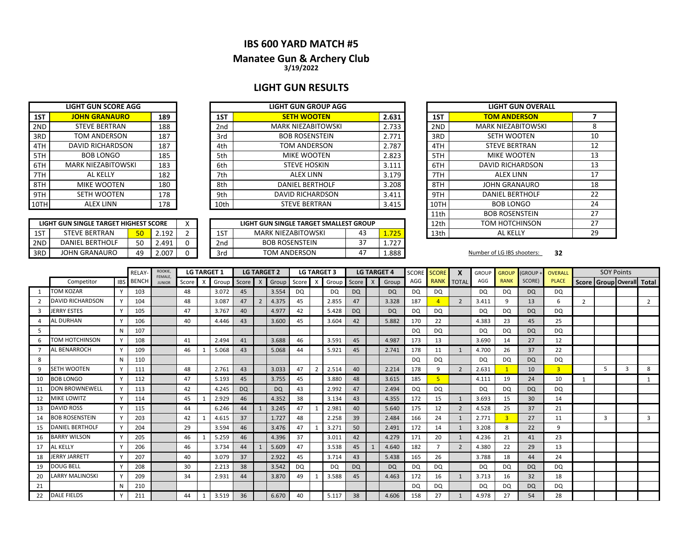#### **IBS 600 YARD MATCH #5**

#### **3/19/2022 Manatee Gun & Archery Club**

## **LIGHT GUN RESULTS**

|     | <b>LIGHT GUN SCORE AGG</b> |     |
|-----|----------------------------|-----|
| 1ST | <b>JOHN GRANAURO</b>       | 189 |
| 2ND | <b>STEVE BERTRAN</b>       | 188 |
| 3RD | <b>TOM ANDERSON</b>        | 187 |
| 4TH | <b>DAVID RICHARDSON</b>    | 187 |
| 5TH | <b>BOB LONGO</b>           | 185 |
| 6TH | <b>MARK NIEZABITOWSKI</b>  | 183 |
| 7TH | AI KFIIY                   | 182 |
| 8TH | <b>MIKE WOOTEN</b>         | 180 |
| 9TH | <b>SETH WOOTEN</b>         | 178 |
|     | <b>ALEX LINN</b>           | 178 |

| LIGHT GUN SINGLE TARGET HIGHEST SCORE |                      |    |        |  |  |  |  |  |  |  |  |  |
|---------------------------------------|----------------------|----|--------|--|--|--|--|--|--|--|--|--|
| 1 S T                                 | <b>STEVE BERTRAN</b> | 50 | 2 192  |  |  |  |  |  |  |  |  |  |
| 2ND                                   | DANIFI BERTHOLF      | 50 | 2.491  |  |  |  |  |  |  |  |  |  |
| l 3RD                                 | JOHN GRANAURO        | 49 | 2 NU 2 |  |  |  |  |  |  |  |  |  |

|      | <b>LIGHT GUN SCORE AGG</b> |     | <b>LIGHT GUN GROUP AGG</b> |      |                           |       |  |      | <b>LIGHT GUN OVE</b>    |
|------|----------------------------|-----|----------------------------|------|---------------------------|-------|--|------|-------------------------|
| 1ST  | <b>JOHN GRANAURO</b>       | 189 |                            | 1ST  | <b>SETH WOOTEN</b>        | 2.631 |  | 1ST  | <b>TOM ANDERSON</b>     |
| 2ND  | <b>STEVE BERTRAN</b>       | 188 |                            | 2nd  | <b>MARK NIEZABITOWSKI</b> | 2.733 |  | 2ND  | <b>MARK NIEZABITOWS</b> |
| 3RD  | TOM ANDERSON               | 187 |                            | 3rd  | <b>BOB ROSENSTEIN</b>     | 2.771 |  | 3RD  | SETH WOOTEN             |
| 4TH  | DAVID RICHARDSON           | 187 |                            | 4th  | TOM ANDERSON              | 2.787 |  | 4TH  | <b>STEVE BERTRAN</b>    |
| 5TH  | <b>BOB LONGO</b>           | 185 |                            | 5th  | <b>MIKE WOOTEN</b>        | 2.823 |  | 5TH  | <b>MIKE WOOTEN</b>      |
| 6TH  | <b>MARK NIEZABITOWSKI</b>  | 183 |                            | 6th  | <b>STEVE HOSKIN</b>       | 3.111 |  | 6TH  | <b>DAVID RICHARDSO</b>  |
| 7TH  | AL KELLY                   | 182 |                            | 7th  | ALEX LINN                 | 3.179 |  | 7TH  | <b>ALEX LINN</b>        |
| 8TH  | MIKE WOOTEN                | 180 |                            | 8th  | <b>DANIEL BERTHOLF</b>    | 3.208 |  | 8TH  | <b>JOHN GRANAURO</b>    |
| 9TH  | <b>SETH WOOTEN</b>         | 178 |                            | 9th  | <b>DAVID RICHARDSON</b>   | 3.411 |  | 9TH  | <b>DANIEL BERTHOLF</b>  |
| 10TH | <b>ALEX LINN</b>           | 178 |                            | 10th | <b>STEVE BERTRAN</b>      | 3.415 |  | 10TH | <b>BOB LONGO</b>        |
|      |                            |     |                            |      |                           |       |  |      |                         |

|     | LIGHT GUN SINGLE TARGET HIGHEST SCORE |          |       | $\lambda$ |     | LIGHT GUN SINGLE TARGET SMALLEST GROUP |           |     | 12th | TOM HOTCHINSON             |    |
|-----|---------------------------------------|----------|-------|-----------|-----|----------------------------------------|-----------|-----|------|----------------------------|----|
| 1ST | <b>STEVE BERTRAN</b>                  | π∩<br>JU | 192   |           | 1ST | <b>MARK NIEZABITOWSKI</b>              | 45        | 725 | 13th | AL KELL                    |    |
| 2ND | <b>DANIEL BERTHOLF</b>                | 50       | 2.491 |           | 2nd | <b>BOB ROSENSTEIN</b>                  | ~-<br>، ب | フつつ |      |                            |    |
| 3RD | JOHN GRANAURO                         | 49       | 2.007 |           | 3rd | <b>TOM ANDERSON</b>                    | 4         | 888 |      | Number of LG IBS shooters: | 32 |

|      | <b>LIGHT GUN OVERALL</b>  |    |
|------|---------------------------|----|
| 1ST  | <b>TOM ANDERSON</b>       | 7  |
| 2ND  | <b>MARK NIEZABITOWSKI</b> | 8  |
| 3RD  | <b>SETH WOOTEN</b>        | 10 |
| 4TH  | <b>STEVE BERTRAN</b>      | 12 |
| 5TH  | MIKE WOOTEN               | 13 |
| 6TH  | DAVID RICHARDSON          | 13 |
| 7TH  | ALFX LINN                 | 17 |
| 8TH  | JOHN GRANAURO             | 18 |
| 9TH  | <b>DANIEL BERTHOLF</b>    | 22 |
| 10TH | <b>BOB LONGO</b>          | 24 |
| 11th | <b>BOB ROSENSTEIN</b>     | 27 |
| 12th | TOM HOTCHINSON            | 27 |
| 13th | <b>AL KELLY</b>           | 29 |

|    |                         |            | RELAY        | <b>ROOKIE</b><br>FEMALE. |       |                           | <b>LG TARGET 1</b> |           |                | <b>LG TARGET 2</b> |       | <b>LG TARGET 3</b> |           |              | <b>LG TARGET 4</b> | <b>SCORE</b> | <b>SCORE</b> | $\boldsymbol{x}$ | <b>GROUP</b> | <b>GROUP</b> | (GROUP -  | OVERALL        |                | <b>SOY Points</b>      |   |                |
|----|-------------------------|------------|--------------|--------------------------|-------|---------------------------|--------------------|-----------|----------------|--------------------|-------|--------------------|-----------|--------------|--------------------|--------------|--------------|------------------|--------------|--------------|-----------|----------------|----------------|------------------------|---|----------------|
|    | Competitor              | <b>IBS</b> | <b>BENCH</b> | <b>JUNIOR</b>            | Score | $\boldsymbol{\mathsf{x}}$ | Group              | Score     | $\mathsf{x}$   | Group              | Score | Group              | Score     | $\mathsf{X}$ | Group              | AGG          |              | RANK TOTAL       | AGG          | <b>RANK</b>  | SCORE)    | <b>PLACE</b>   |                | Score   Group   Overal |   | <b>Total</b>   |
|    | <b>TOM KOZAR</b>        |            | 103          |                          | 48    |                           | 3.072              | 45        |                | 3.554              | DQ    | DQ.                | DQ.       |              | <b>DQ</b>          | DQ           | DQ           |                  | <b>DQ</b>    | DQ.          | DQ        | DQ             |                |                        |   |                |
|    | <b>DAVID RICHARDSON</b> |            | 104          |                          | 48    |                           | 3.087              | 47        | $\overline{2}$ | 4.375              | 45    | 2.855              | 47        |              | 3.328              | 187          |              | $\overline{2}$   | 3.411        | 9            | 13        | 6              | $\overline{2}$ |                        |   | $\overline{2}$ |
| 3  | JERRY ESTES             |            | 105          |                          | 47    |                           | 3.767              | 40        |                | 4.977              | 42    | 5.428              | <b>DQ</b> |              | <b>DQ</b>          | DQ           | DQ           |                  | <b>DQ</b>    | DQ           | <b>DQ</b> | DQ             |                |                        |   |                |
|    | <b>AL DURHAN</b>        |            | 106          |                          | 40    |                           | 4.446              | 43        |                | 3.600              | 45    | 3.604              | 42        |              | 5.882              | 170          | 22           |                  | 4.383        | 23           | 45        | 25             |                |                        |   |                |
| .5 |                         |            | 107          |                          |       |                           |                    |           |                |                    |       |                    |           |              |                    | DQ           | DQ           |                  | <b>DQ</b>    | DQ           | <b>DQ</b> | DQ             |                |                        |   |                |
| 6  | TOM HOTCHINSON          |            | 108          |                          | 41    |                           | 2.494              | 41        |                | 3.688              | 46    | 3.591              | 45        |              | 4.987              | 173          | 13           |                  | 3.690        | 14           | 27        | 12             |                |                        |   |                |
|    | AL BENARROCH            |            | 109          |                          | 46    |                           | 5.068              | 43        |                | 5.068              | 44    | 5.921              | 45        |              | 2.741              | 178          | 11           | 1                | 4.700        | 26           | 37        | 22             |                |                        |   |                |
| 8  |                         |            | 110          |                          |       |                           |                    |           |                |                    |       |                    |           |              |                    | <b>DQ</b>    | DQ           |                  | <b>DQ</b>    | DQ           | <b>DQ</b> | DQ             |                |                        |   |                |
| 9  | SETH WOOTEN             | Y          | 111          |                          | 48    |                           | 2.761              | 43        |                | 3.033              | 47    | 2.514              | 40        |              | 2.214              | 178          | 9            | $\overline{2}$   | 2.631        |              | 10        | $\overline{3}$ |                | 5                      | 3 | 8              |
| 10 | <b>BOB LONGO</b>        |            | 112          |                          | 47    |                           | 5.193              | 45        |                | 3.755              | 45    | 3.880              | 48        |              | 3.615              | 185          | 5            |                  | 4.111        | 19           | 24        | 10             |                |                        |   | 1              |
| 11 | <b>DON BROWNEWELL</b>   |            | 113          |                          | 42    |                           | 4.245              | <b>DQ</b> |                | <b>DQ</b>          | 43    | 2.992              | 47        |              | 2.494              | DQ           | <b>DQ</b>    |                  | <b>DQ</b>    | DQ           | <b>DQ</b> | <b>DQ</b>      |                |                        |   |                |
| 12 | <b>MIKE LOWITZ</b>      |            | 114          |                          | 45    |                           | 2.929              | 46        |                | 4.352              | 38    | 3.134              | 43        |              | 4.355              | 172          | 15           | 1                | 3.693        | 15           | 30        | 14             |                |                        |   |                |
| 13 | <b>DAVID ROSS</b>       |            | 115          |                          | 44    |                           | 6.246              | 44        | -1             | 3.245              | 47    | 2.981              | 40        |              | 5.640              | 175          | 12           | 2                | 4.528        | 25           | 37        | 21             |                |                        |   |                |
| 14 | <b>BOB ROSENSTEIN</b>   |            | 203          |                          | 42    |                           | 4.615              | 37        |                | 1.727              | 48    | 2.258              | 39        |              | 2.484              | 166          | 24           | 1                | 2.771        | 3            | 27        | 11             |                | $\overline{3}$         |   | $\overline{3}$ |
| 15 | <b>DANIEL BERTHOLF</b>  |            | 204          |                          | 29    |                           | 3.594              | 46        |                | 3.476              | 47    | 3.271              | 50        |              | 2.491              | 172          | 14           | $\mathbf{1}$     | 3.208        | 8            | 22        | 9              |                |                        |   |                |
| 16 | <b>BARRY WILSON</b>     |            | 205          |                          | 46    |                           | 5.259              | 46        |                | 4.396              | 37    | 3.011              | 42        |              | 4.279              | 171          | 20           | 1                | 4.236        | 21           | 41        | 23             |                |                        |   |                |
| 17 | AL KELLY                |            | 206          |                          | 46    |                           | 3.734              | 44        |                | 5.609              | 47    | 3.538              | 45        |              | 4.640              | 182          |              | $\overline{2}$   | 4.380        | 22           | 29        | 13             |                |                        |   |                |
| 18 | <b>JERRY JARRETT</b>    |            | 207          |                          | 40    |                           | 3.079              | 37        |                | 2.922              | 45    | 3.714              | 43        |              | 5.438              | 165          | 26           |                  | 3.788        | 18           | 44        | 24             |                |                        |   |                |
| 19 | <b>DOUG BELL</b>        |            | 208          |                          | 30    |                           | 2.213              | 38        |                | 3.542              | DQ    | DQ                 | <b>DQ</b> |              | <b>DQ</b>          | DQ.          | DQ           |                  | DQ           | DQ           | DQ        | DQ             |                |                        |   |                |
| 20 | <b>LARRY MALINOSKI</b>  |            | 209          |                          | 34    |                           | 2.931              | 44        |                | 3.870              | 49    | 3.588              | 45        |              | 4.463              | 172          | 16           | $\mathbf{1}$     | 3.713        | 16           | 32        | 18             |                |                        |   |                |
| 21 |                         |            | 210          |                          |       |                           |                    |           |                |                    |       |                    |           |              |                    | DQ           | DQ           |                  | DQ           | DQ           | <b>DQ</b> | DQ             |                |                        |   |                |
| 22 | <b>DALE FIELDS</b>      |            | 211          |                          | 44    |                           | 3.519              | 36        |                | 6.670              | 40    | 5.117              | 38        |              | 4.606              | 158          | 27           | $\mathbf{1}$     | 4.978        | 27           | 54        | 28             |                |                        |   |                |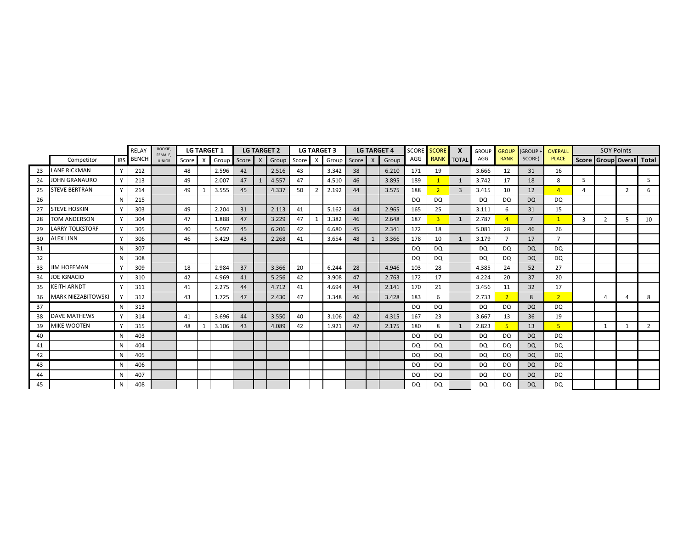|    |                        |              | RELAY        | ROOKIE,<br>FEMALE. |       |   | <b>LG TARGET 1</b> |         | <b>LG TARGET 2</b> |    |               | <b>LG TARGET 3</b> |    |                           | <b>LG TARGET 4</b> | <b>SCORE</b> | <b>SCORE</b>   | X              | <b>GROUP</b> | <b>GROUP</b>   | (GROUP -       | OVERALL        |   | <b>SOY Points</b>         |              |             |
|----|------------------------|--------------|--------------|--------------------|-------|---|--------------------|---------|--------------------|----|---------------|--------------------|----|---------------------------|--------------------|--------------|----------------|----------------|--------------|----------------|----------------|----------------|---|---------------------------|--------------|-------------|
|    | Competitor             | <b>IBS</b>   | <b>BENCH</b> | <b>JUNIOR</b>      | Score | X | Group              | Score X | Group Score        |    | X             | Group Score        |    | $\boldsymbol{\mathsf{X}}$ | Group              | AGG          | <b>RANK</b>    | <b>TOTAL</b>   | AGG          | <b>RANK</b>    | SCORE)         | <b>PLACE</b>   |   | Score Group Overall Total |              |             |
| 23 | <b>LANE RICKMAN</b>    | <b>V</b>     | 212          |                    | 48    |   | 2.596              | 42      | 2.516              | 43 |               | 3.342              | 38 |                           | 6.210              | 171          | 19             |                | 3.666        | 12             | 31             | 16             |   |                           |              |             |
| 24 | <b>JOHN GRANAURO</b>   |              | 213          |                    | 49    |   | 2.007              | 47      | 4.557              | 47 |               | 4.510              | 46 |                           | 3.895              | 189          |                |                | 3.742        | 17             | 18             | 8              | 5 |                           |              | 5           |
| 25 | <b>STEVE BERTRAN</b>   | $\mathsf{v}$ | 214          |                    | 49    |   | 3.555              | 45      | 4.337              | 50 | $\mathcal{P}$ | 2.192              | 44 |                           | 3.575              | 188          | $\overline{2}$ | $\overline{3}$ | 3.415        | 10             | 12             | $\overline{4}$ | 4 |                           | 2            | 6           |
| 26 |                        | N            | 215          |                    |       |   |                    |         |                    |    |               |                    |    |                           |                    | DQ           | DQ             |                | <b>DQ</b>    | DQ             | <b>DQ</b>      | DQ             |   |                           |              |             |
| 27 | <b>STEVE HOSKIN</b>    |              | 303          |                    | 49    |   | 2.204              | 31      | 2.113              | 41 |               | 5.162              | 44 |                           | 2.965              | 165          | 25             |                | 3.111        | 6              | 31             | 15             |   |                           |              |             |
| 28 | TOM ANDERSON           | <b>V</b>     | 304          |                    | 47    |   | 1.888              | 47      | 3.229              | 47 |               | 3.382              | 46 |                           | 2.648              | 187          | 3              | 1              | 2.787        | $\overline{4}$ | $\overline{7}$ | $\mathbf{1}$   | 3 | $\overline{2}$            | 5            | 10          |
| 29 | <b>LARRY TOLKSTORF</b> |              | 305          |                    | 40    |   | 5.097              | 45      | 6.206              | 42 |               | 6.680              | 45 |                           | 2.341              | 172          | 18             |                | 5.081        | 28             | 46             | 26             |   |                           |              |             |
| 30 | <b>ALEX LINN</b>       |              | 306          |                    | 46    |   | 3.429              | 43      | 2.268              | 41 |               | 3.654              | 48 |                           | 3.366              | 178          | 10             | $\mathbf{1}$   | 3.179        | $\overline{ }$ | 17             | $\overline{7}$ |   |                           |              |             |
| 31 |                        | N            | 307          |                    |       |   |                    |         |                    |    |               |                    |    |                           |                    | DQ           | DQ             |                | <b>DQ</b>    | DQ             | <b>DQ</b>      | DQ             |   |                           |              |             |
| 32 |                        | N            | 308          |                    |       |   |                    |         |                    |    |               |                    |    |                           |                    | <b>DQ</b>    | DQ             |                | <b>DQ</b>    | DQ             | <b>DQ</b>      | DQ             |   |                           |              |             |
| 33 | <b>JIM HOFFMAN</b>     | $\vee$       | 309          |                    | 18    |   | 2.984              | 37      | 3.366              | 20 |               | 6.244              | 28 |                           | 4.946              | 103          | 28             |                | 4.385        | 24             | 52             | 27             |   |                           |              |             |
| 34 | JOE IGNACIO            |              | 310          |                    | 42    |   | 4.969              | 41      | 5.256              | 42 |               | 3.908              | 47 |                           | 2.763              | 172          | 17             |                | 4.224        | 20             | 37             | 20             |   |                           |              |             |
| 35 | <b>KEITH ARNDT</b>     |              | 311          |                    | 41    |   | 2.275              | 44      | 4.712              | 41 |               | 4.694              | 44 |                           | 2.141              | 170          | 21             |                | 3.456        | 11             | 32             | 17             |   |                           |              |             |
| 36 | MARK NIEZABITOWSKI     |              | 312          |                    | 43    |   | 1.725              | 47      | 2.430              | 47 |               | 3.348              | 46 |                           | 3.428              | 183          | 6              |                | 2.733        | $\overline{2}$ | 8              | $\overline{2}$ |   | $\overline{4}$            | 4            | 8           |
| 37 |                        |              | 313          |                    |       |   |                    |         |                    |    |               |                    |    |                           |                    | <b>DQ</b>    | DQ             |                | <b>DQ</b>    | <b>DQ</b>      | <b>DQ</b>      | DQ.            |   |                           |              |             |
| 38 | <b>DAVE MATHEWS</b>    | <b>V</b>     | 314          |                    | 41    |   | 3.696              | 44      | 3.550              | 40 |               | 3.106              | 42 |                           | 4.315              | 167          | 23             |                | 3.667        | 13             | 36             | 19             |   |                           |              |             |
| 39 | <b>MIKE WOOTEN</b>     |              | 315          |                    | 48    |   | 3.106              | 43      | 4.089              | 42 |               | 1.921              | 47 |                           | 2.175              | 180          | 8              |                | 2.823        | 5              | 13             | 5 <sup>1</sup> |   | 1                         | $\mathbf{1}$ | $2^{\circ}$ |
| 40 |                        | N            | 403          |                    |       |   |                    |         |                    |    |               |                    |    |                           |                    | <b>DQ</b>    | DQ             |                | <b>DQ</b>    | DQ             | <b>DQ</b>      | DQ             |   |                           |              |             |
| 41 |                        |              | 404          |                    |       |   |                    |         |                    |    |               |                    |    |                           |                    | DQ           | DQ             |                | <b>DQ</b>    | DQ             | <b>DQ</b>      | DQ             |   |                           |              |             |
| 42 |                        | N            | 405          |                    |       |   |                    |         |                    |    |               |                    |    |                           |                    | DQ           | DQ             |                | <b>DQ</b>    | DQ             | <b>DQ</b>      | DQ             |   |                           |              |             |
| 43 |                        |              | 406          |                    |       |   |                    |         |                    |    |               |                    |    |                           |                    | DQ           | DQ             |                | DQ           | DQ.            | <b>DQ</b>      | DQ             |   |                           |              |             |
| 44 |                        | N            | 407          |                    |       |   |                    |         |                    |    |               |                    |    |                           |                    | <b>DQ</b>    | DQ             |                | <b>DQ</b>    | DQ             | <b>DQ</b>      | DQ             |   |                           |              |             |
| 45 |                        | N            | 408          |                    |       |   |                    |         |                    |    |               |                    |    |                           |                    | <b>DQ</b>    | <b>DQ</b>      |                | <b>DQ</b>    | DQ             | <b>DQ</b>      | <b>DQ</b>      |   |                           |              |             |